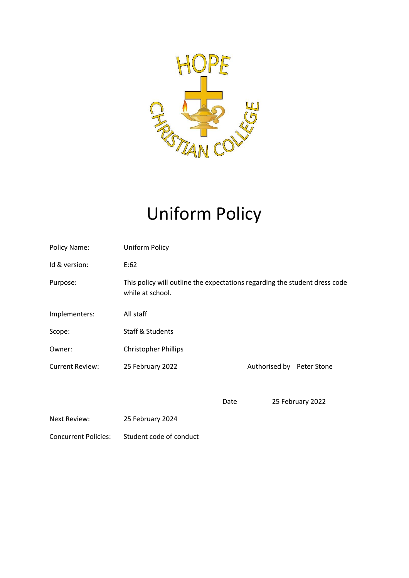

# Uniform Policy

| Policy Name:           | Uniform Policy                                                                                 |      |                           |                  |
|------------------------|------------------------------------------------------------------------------------------------|------|---------------------------|------------------|
| Id & version:          | E:62                                                                                           |      |                           |                  |
| Purpose:               | This policy will outline the expectations regarding the student dress code<br>while at school. |      |                           |                  |
| Implementers:          | All staff                                                                                      |      |                           |                  |
| Scope:                 | <b>Staff &amp; Students</b>                                                                    |      |                           |                  |
| Owner:                 | <b>Christopher Phillips</b>                                                                    |      |                           |                  |
| <b>Current Review:</b> | 25 February 2022                                                                               |      | Authorised by Peter Stone |                  |
|                        |                                                                                                |      |                           |                  |
|                        |                                                                                                | Date |                           | 25 February 2022 |
| Next Review:           | 25 February 2024                                                                               |      |                           |                  |

Concurrent Policies: Student code of conduct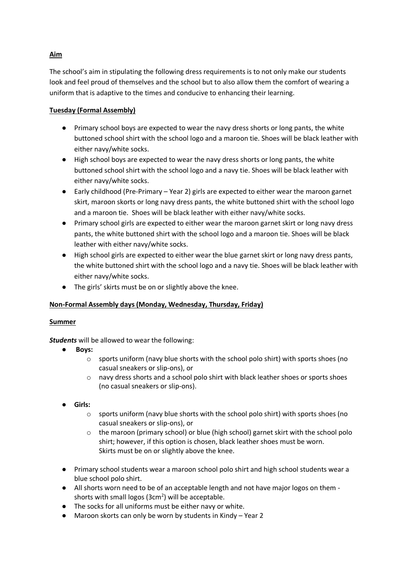# **Aim**

The school's aim in stipulating the following dress requirements is to not only make our students look and feel proud of themselves and the school but to also allow them the comfort of wearing a uniform that is adaptive to the times and conducive to enhancing their learning.

# **Tuesday (Formal Assembly)**

- Primary school boys are expected to wear the navy dress shorts or long pants, the white buttoned school shirt with the school logo and a maroon tie. Shoes will be black leather with either navy/white socks.
- High school boys are expected to wear the navy dress shorts or long pants, the white buttoned school shirt with the school logo and a navy tie. Shoes will be black leather with either navy/white socks.
- Early childhood (Pre-Primary Year 2) girls are expected to either wear the maroon garnet skirt, maroon skorts or long navy dress pants, the white buttoned shirt with the school logo and a maroon tie. Shoes will be black leather with either navy/white socks.
- Primary school girls are expected to either wear the maroon garnet skirt or long navy dress pants, the white buttoned shirt with the school logo and a maroon tie. Shoes will be black leather with either navy/white socks.
- High school girls are expected to either wear the blue garnet skirt or long navy dress pants, the white buttoned shirt with the school logo and a navy tie. Shoes will be black leather with either navy/white socks.
- The girls' skirts must be on or slightly above the knee.

## **Non-Formal Assembly days (Monday, Wednesday, Thursday, Friday)**

## **Summer**

*Students* will be allowed to wear the following:

- **Boys:** 
	- $\circ$  sports uniform (navy blue shorts with the school polo shirt) with sports shoes (no casual sneakers or slip-ons), or
	- o navy dress shorts and a school polo shirt with black leather shoes or sports shoes (no casual sneakers or slip-ons).
- **Girls:**
	- $\circ$  sports uniform (navy blue shorts with the school polo shirt) with sports shoes (no casual sneakers or slip-ons), or
	- $\circ$  the maroon (primary school) or blue (high school) garnet skirt with the school polo shirt; however, if this option is chosen, black leather shoes must be worn. Skirts must be on or slightly above the knee.
- Primary school students wear a maroon school polo shirt and high school students wear a blue school polo shirt.
- All shorts worn need to be of an acceptable length and not have major logos on them shorts with small logos ( $3cm<sup>2</sup>$ ) will be acceptable.
- The socks for all uniforms must be either navy or white.
- Maroon skorts can only be worn by students in Kindy Year 2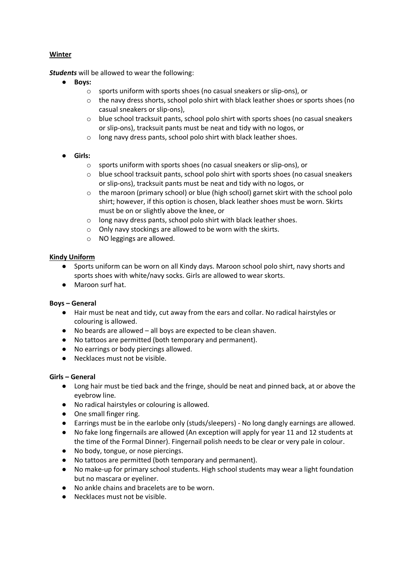## **Winter**

*Students* will be allowed to wear the following:

- **Boys:** 
	- o sports uniform with sports shoes (no casual sneakers or slip-ons), or
	- o the navy dress shorts, school polo shirt with black leather shoes or sports shoes (no casual sneakers or slip-ons),
	- o blue school tracksuit pants, school polo shirt with sports shoes (no casual sneakers or slip-ons), tracksuit pants must be neat and tidy with no logos, or
	- o long navy dress pants, school polo shirt with black leather shoes.

# ● **Girls:**

- o sports uniform with sports shoes (no casual sneakers or slip-ons), or
- o blue school tracksuit pants, school polo shirt with sports shoes (no casual sneakers or slip-ons), tracksuit pants must be neat and tidy with no logos, or
- $\circ$  the maroon (primary school) or blue (high school) garnet skirt with the school polo shirt; however, if this option is chosen, black leather shoes must be worn. Skirts must be on or slightly above the knee, or
- o long navy dress pants, school polo shirt with black leather shoes.
- o Only navy stockings are allowed to be worn with the skirts.
- o NO leggings are allowed.

## **Kindy Uniform**

- Sports uniform can be worn on all Kindy days. Maroon school polo shirt, navy shorts and sports shoes with white/navy socks. Girls are allowed to wear skorts.
- Maroon surf hat.

## **Boys – General**

- Hair must be neat and tidy, cut away from the ears and collar. No radical hairstyles or colouring is allowed.
- No beards are allowed all boys are expected to be clean shaven.
- No tattoos are permitted (both temporary and permanent).
- No earrings or body piercings allowed.
- Necklaces must not be visible.

## **Girls – General**

- Long hair must be tied back and the fringe, should be neat and pinned back, at or above the eyebrow line.
- No radical hairstyles or colouring is allowed.
- One small finger ring.
- Earrings must be in the earlobe only (studs/sleepers) No long dangly earnings are allowed.
- No fake long fingernails are allowed (An exception will apply for year 11 and 12 students at the time of the Formal Dinner). Fingernail polish needs to be clear or very pale in colour.
- No body, tongue, or nose piercings.
- No tattoos are permitted (both temporary and permanent).
- No make-up for primary school students. High school students may wear a light foundation but no mascara or eyeliner.
- No ankle chains and bracelets are to be worn.
- Necklaces must not be visible.